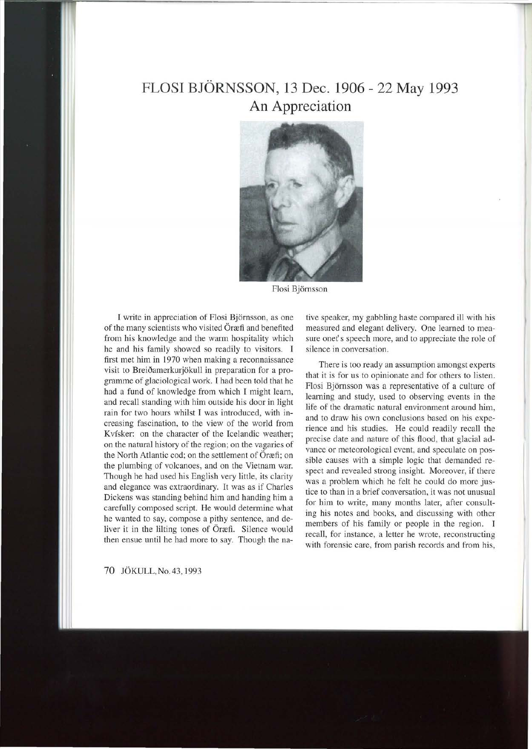## **FLOSI BJORNSSON, 13 Dec. 1906- 22 May 1993 An Appreciation**



Flosi Bjornsson

I write in appreciation of Flosi Bjornsson, as one of the many scientists who visited Öræfi and benefited from his knowledge and the warm hospitality which he and his family showed so readily to visitors. I first met him in 1970 when making a reconnaissance visit to Breiðamerkurjökull in preparation for a programme of glaciological work. I had been told that he had a fund of knowledge from which I might learn, and recall standing with him outside his door in light rain for two hours whilst I was introduced, with increasing fascination, to the view of the world from Kvísker: on the character of the Icelandic weather; on the natural history of the region; on the vagaries of the North Atlantic cod; on the settlement of Öræfi; on the plumbing of volcanoes, and on the Vietnam war. Though he had used his English very little, its clarity and elegance was extraordinary. It was as if Charles Dickens was standing behind him and handing him a carefully composed script. He would determine what he wanted to say, compose a pithy sentence, and deliver it in the lilting tones of Öræfi. Silence would then ensue until he had more to say. Though the native speaker, my gabbling haste compared ill with his measured and elegant delivery. One learned to measure onet's speech more, and to appreciate the role of silence in conversation.

There is too ready an assumption amongst experts that it is for us to opinionate and for others to listen. Flosi Bjornsson was a representative of a culture of learning and study, used to observing events in the life of the dramatic natural environment around him, and to draw his own conclusions based on his experience and his studies. He could readily recall the precise date and nature of this flood, that glacial advance or meteorological event, and speculate on possible causes with a simple logic that demanded respect and revealed strong insight. Moreover, if there was a problem which he felt he could do more justice to than in a brief conversation, it was not unusual for him to write, many months later, after consulting his notes and books, and discussing with other members of his family or people in the region. I recall, for instance, a letter he wrote, reconstructing with forensic care, from parish records and from his,